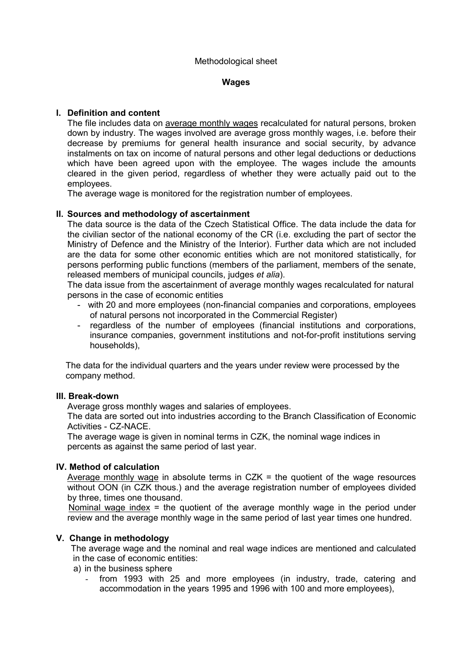#### **Wages**

# **I. Definition and content**

The file includes data on average monthly wages recalculated for natural persons, broken down by industry. The wages involved are average gross monthly wages, i.e. before their decrease by premiums for general health insurance and social security, by advance instalments on tax on income of natural persons and other legal deductions or deductions which have been agreed upon with the employee. The wages include the amounts cleared in the given period, regardless of whether they were actually paid out to the employees.

The average wage is monitored for the registration number of employees.

## **II. Sources and methodology of ascertainment**

The data source is the data of the Czech Statistical Office. The data include the data for the civilian sector of the national economy of the CR (i.e. excluding the part of sector the Ministry of Defence and the Ministry of the Interior). Further data which are not included are the data for some other economic entities which are not monitored statistically, for persons performing public functions (members of the parliament, members of the senate, released members of municipal councils, judges *et alia*).

The data issue from the ascertainment of average monthly wages recalculated for natural persons in the case of economic entities

- with 20 and more employees (non-financial companies and corporations, employees of natural persons not incorporated in the Commercial Register)
- regardless of the number of employees (financial institutions and corporations, insurance companies, government institutions and not-for-profit institutions serving households),

The data for the individual quarters and the years under review were processed by the company method.

## **III. Break-down**

Average gross monthly wages and salaries of employees.

The data are sorted out into industries according to the Branch Classification of Economic Activities - CZ-NACE.

The average wage is given in nominal terms in CZK, the nominal wage indices in percents as against the same period of last year.

## **IV. Method of calculation**

Average monthly wage in absolute terms in  $CZK =$  the quotient of the wage resources without OON (in CZK thous.) and the average registration number of employees divided by three, times one thousand.

 Nominal wage index = the quotient of the average monthly wage in the period under review and the average monthly wage in the same period of last year times one hundred.

## **V. Change in methodology**

The average wage and the nominal and real wage indices are mentioned and calculated in the case of economic entities:

a) in the business sphere

- from 1993 with 25 and more employees (in industry, trade, catering and accommodation in the years 1995 and 1996 with 100 and more employees),